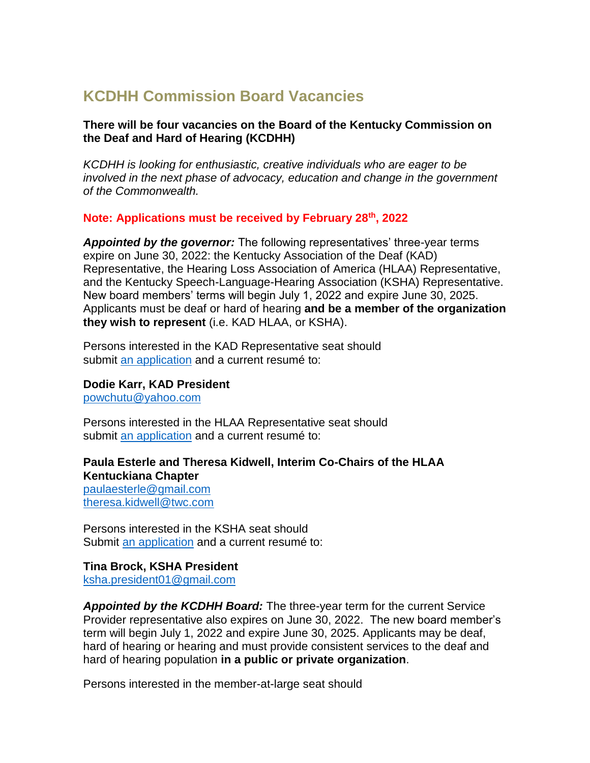# **KCDHH Commission Board Vacancies**

#### **There will be four vacancies on the Board of the Kentucky Commission on the Deaf and Hard of Hearing (KCDHH)**

*KCDHH is looking for enthusiastic, creative individuals who are eager to be involved in the next phase of advocacy, education and change in the government of the Commonwealth.*

#### **Note: Applications must be received by February 28th, 2022**

*Appointed by the governor:* The following representatives' three-year terms expire on June 30, 2022: the Kentucky Association of the Deaf (KAD) Representative, the Hearing Loss Association of America (HLAA) Representative, and the Kentucky Speech-Language-Hearing Association (KSHA) Representative. New board members' terms will begin July 1, 2022 and expire June 30, 2025. Applicants must be deaf or hard of hearing **and be a member of the organization they wish to represent** (i.e. KAD HLAA, or KSHA).

Persons interested in the KAD Representative seat should submit [an application](https://governor.ky.gov/Service/Documents/KY-Boards-and-Commissions-Applicaiton.pdf) and a current resumé to:

**Dodie Karr, KAD President**

[powchutu@yahoo.com](mailto:powchutu@yahoo.com)

Persons interested in the HLAA Representative seat should submit [an application](https://governor.ky.gov/Service/Documents/KY-Boards-and-Commissions-Applicaiton.pdf) and a current resumé to:

### **Paula Esterle and Theresa Kidwell, Interim Co-Chairs of the HLAA Kentuckiana Chapter**

[paulaesterle@gmail.com](mailto:paulaesterle@gmail.com) [theresa.kidwell@twc.com](mailto:theresa.kidwell@twc.com)

Persons interested in the KSHA seat should Submit [an application](https://governor.ky.gov/Service/Documents/KY-Boards-and-Commissions-Applicaiton.pdf) and a current resumé to:

## **Tina Brock, KSHA President**

[ksha.president01@gmail.com](mailto:ksha.president01@gmail.com)

*Appointed by the KCDHH Board:* The three-year term for the current Service Provider representative also expires on June 30, 2022. The new board member's term will begin July 1, 2022 and expire June 30, 2025. Applicants may be deaf, hard of hearing or hearing and must provide consistent services to the deaf and hard of hearing population **in a public or private organization**.

Persons interested in the member-at-large seat should